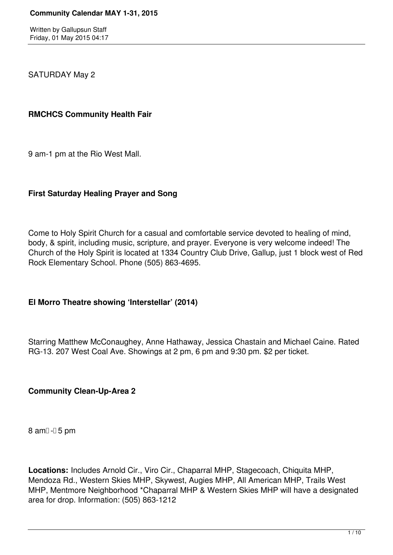SATURDAY May 2

#### **RMCHCS Community Health Fair**

9 am-1 pm at the Rio West Mall.

# **First Saturday Healing Prayer and Song**

Come to Holy Spirit Church for a casual and comfortable service devoted to healing of mind, body, & spirit, including music, scripture, and prayer. Everyone is very welcome indeed! The Church of the Holy Spirit is located at 1334 Country Club Drive, Gallup, just 1 block west of Red Rock Elementary School. Phone (505) 863-4695.

# **El Morro Theatre showing 'Interstellar' (2014)**

Starring Matthew McConaughey, Anne Hathaway, Jessica Chastain and Michael Caine. Rated RG-13. 207 West Coal Ave. Showings at 2 pm, 6 pm and 9:30 pm. \$2 per ticket.

# **Community Clean-Up-Area 2**

 $8$  am $0 - 5$  pm

**Locations:** Includes Arnold Cir., Viro Cir., Chaparral MHP, Stagecoach, Chiquita MHP, Mendoza Rd., Western Skies MHP, Skywest, Augies MHP, All American MHP, Trails West MHP, Mentmore Neighborhood \*Chaparral MHP & Western Skies MHP will have a designated area for drop. Information: (505) 863-1212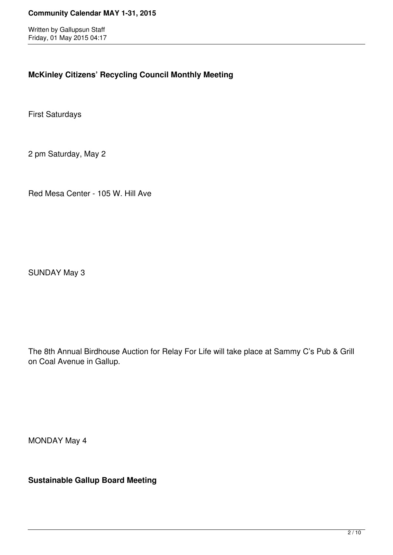# **McKinley Citizens' Recycling Council Monthly Meeting**

First Saturdays

2 pm Saturday, May 2

Red Mesa Center - 105 W. Hill Ave

SUNDAY May 3

The 8th Annual Birdhouse Auction for Relay For Life will take place at Sammy C's Pub & Grill on Coal Avenue in Gallup.

MONDAY May 4

**Sustainable Gallup Board Meeting**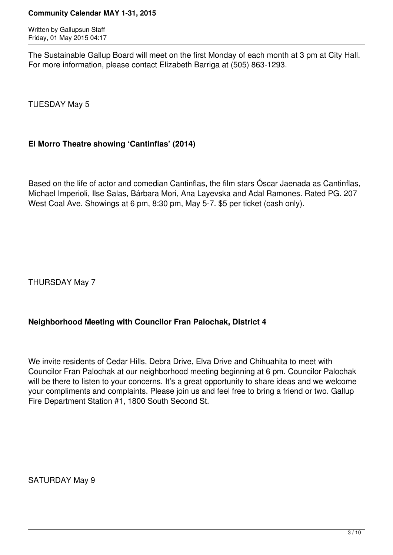Written by Gallupsun Staff Friday, 01 May 2015 04:17

The Sustainable Gallup Board will meet on the first Monday of each month at 3 pm at City Hall. For more information, please contact Elizabeth Barriga at (505) 863-1293.

TUESDAY May 5

# **El Morro Theatre showing 'Cantinflas' (2014)**

Based on the life of actor and comedian Cantinflas, the film stars Óscar Jaenada as Cantinflas, Michael Imperioli, Ilse Salas, Bárbara Mori, Ana Layevska and Adal Ramones. Rated PG. 207 West Coal Ave. Showings at 6 pm, 8:30 pm, May 5-7. \$5 per ticket (cash only).

THURSDAY May 7

# **Neighborhood Meeting with Councilor Fran Palochak, District 4**

We invite residents of Cedar Hills, Debra Drive, Elva Drive and Chihuahita to meet with Councilor Fran Palochak at our neighborhood meeting beginning at 6 pm. Councilor Palochak will be there to listen to your concerns. It's a great opportunity to share ideas and we welcome your compliments and complaints. Please join us and feel free to bring a friend or two. Gallup Fire Department Station #1, 1800 South Second St.

SATURDAY May 9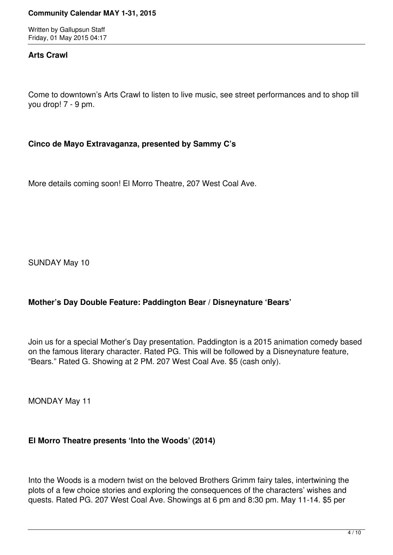Written by Gallupsun Staff Friday, 01 May 2015 04:17

#### **Arts Crawl**

Come to downtown's Arts Crawl to listen to live music, see street performances and to shop till you drop! 7 - 9 pm.

#### **Cinco de Mayo Extravaganza, presented by Sammy C's**

More details coming soon! El Morro Theatre, 207 West Coal Ave.

SUNDAY May 10

# **Mother's Day Double Feature: Paddington Bear / Disneynature 'Bears'**

Join us for a special Mother's Day presentation. Paddington is a 2015 animation comedy based on the famous literary character. Rated PG. This will be followed by a Disneynature feature, "Bears." Rated G. Showing at 2 PM. 207 West Coal Ave. \$5 (cash only).

MONDAY May 11

# **El Morro Theatre presents 'Into the Woods' (2014)**

Into the Woods is a modern twist on the beloved Brothers Grimm fairy tales, intertwining the plots of a few choice stories and exploring the consequences of the characters' wishes and quests. Rated PG. 207 West Coal Ave. Showings at 6 pm and 8:30 pm. May 11-14. \$5 per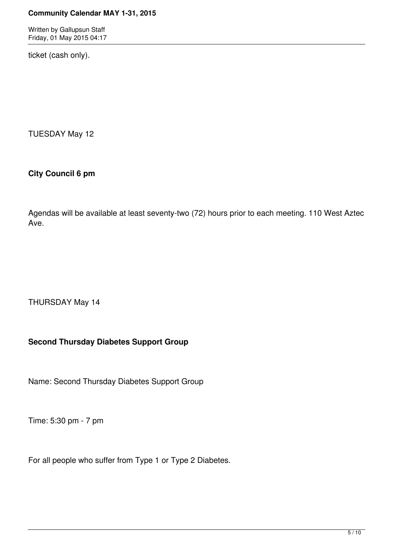Written by Gallupsun Staff Friday, 01 May 2015 04:17

ticket (cash only).

TUESDAY May 12

# **City Council 6 pm**

Agendas will be available at least seventy-two (72) hours prior to each meeting. 110 West Aztec Ave.

THURSDAY May 14

# **Second Thursday Diabetes Support Group**

Name: Second Thursday Diabetes Support Group

Time: 5:30 pm - 7 pm

For all people who suffer from Type 1 or Type 2 Diabetes.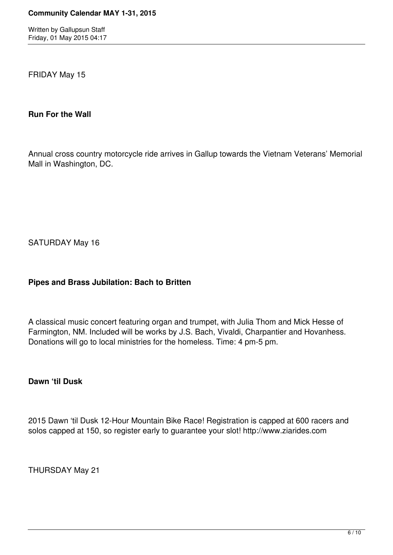FRIDAY May 15

#### **Run For the Wall**

Annual cross country motorcycle ride arrives in Gallup towards the Vietnam Veterans' Memorial Mall in Washington, DC.

SATURDAY May 16

# **Pipes and Brass Jubilation: Bach to Britten**

A classical music concert featuring organ and trumpet, with Julia Thom and Mick Hesse of Farmington, NM. Included will be works by J.S. Bach, Vivaldi, Charpantier and Hovanhess. Donations will go to local ministries for the homeless. Time: 4 pm-5 pm.

#### **Dawn 'til Dusk**

2015 Dawn 'til Dusk 12-Hour Mountain Bike Race! Registration is capped at 600 racers and solos capped at 150, so register early to guarantee your slot! http://www.ziarides.com

THURSDAY May 21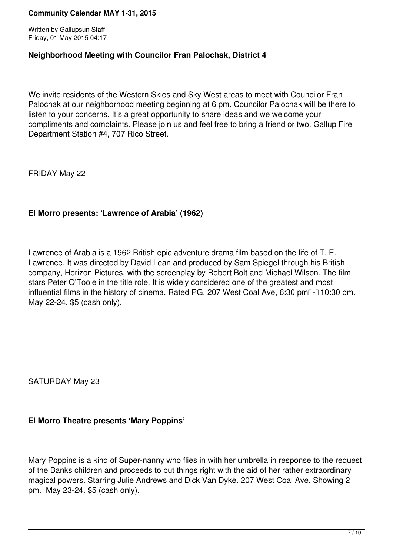Written by Gallupsun Staff Friday, 01 May 2015 04:17

#### **Neighborhood Meeting with Councilor Fran Palochak, District 4**

We invite residents of the Western Skies and Sky West areas to meet with Councilor Fran Palochak at our neighborhood meeting beginning at 6 pm. Councilor Palochak will be there to listen to your concerns. It's a great opportunity to share ideas and we welcome your compliments and complaints. Please join us and feel free to bring a friend or two. Gallup Fire Department Station #4, 707 Rico Street.

FRIDAY May 22

# **El Morro presents: 'Lawrence of Arabia' (1962)**

Lawrence of Arabia is a 1962 British epic adventure drama film based on the life of T. E. Lawrence. It was directed by David Lean and produced by Sam Spiegel through his British company, Horizon Pictures, with the screenplay by Robert Bolt and Michael Wilson. The film stars Peter O'Toole in the title role. It is widely considered one of the greatest and most influential films in the history of cinema. Rated PG. 207 West Coal Ave, 6:30 pm $\Box$  10:30 pm. May 22-24. \$5 (cash only).

SATURDAY May 23

# **El Morro Theatre presents 'Mary Poppins'**

Mary Poppins is a kind of Super-nanny who flies in with her umbrella in response to the request of the Banks children and proceeds to put things right with the aid of her rather extraordinary magical powers. Starring Julie Andrews and Dick Van Dyke. 207 West Coal Ave. Showing 2 pm. May 23-24. \$5 (cash only).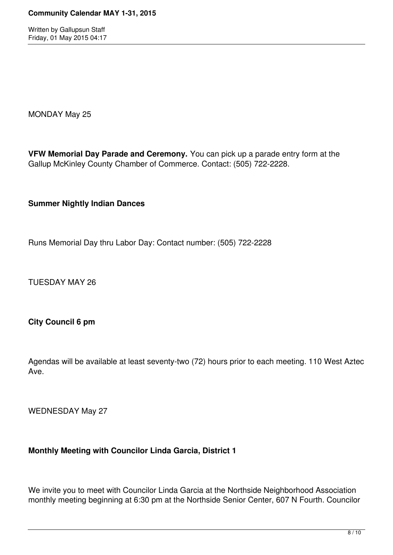MONDAY May 25

**VFW Memorial Day Parade and Ceremony.** You can pick up a parade entry form at the Gallup McKinley County Chamber of Commerce. Contact: (505) 722-2228.

**Summer Nightly Indian Dances**

Runs Memorial Day thru Labor Day: Contact number: (505) 722-2228

TUESDAY MAY 26

**City Council 6 pm**

Agendas will be available at least seventy-two (72) hours prior to each meeting. 110 West Aztec Ave.

WEDNESDAY May 27

# **Monthly Meeting with Councilor Linda Garcia, District 1**

We invite you to meet with Councilor Linda Garcia at the Northside Neighborhood Association monthly meeting beginning at 6:30 pm at the Northside Senior Center, 607 N Fourth. Councilor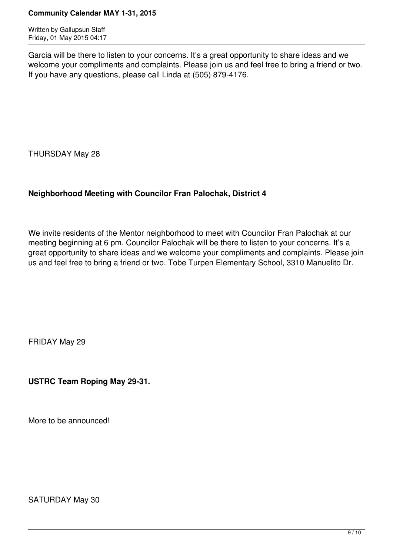Written by Gallupsun Staff Friday, 01 May 2015 04:17

Garcia will be there to listen to your concerns. It's a great opportunity to share ideas and we welcome your compliments and complaints. Please join us and feel free to bring a friend or two. If you have any questions, please call Linda at (505) 879-4176.

THURSDAY May 28

# **Neighborhood Meeting with Councilor Fran Palochak, District 4**

We invite residents of the Mentor neighborhood to meet with Councilor Fran Palochak at our meeting beginning at 6 pm. Councilor Palochak will be there to listen to your concerns. It's a great opportunity to share ideas and we welcome your compliments and complaints. Please join us and feel free to bring a friend or two. Tobe Turpen Elementary School, 3310 Manuelito Dr.

FRIDAY May 29

**USTRC Team Roping May 29-31.**

More to be announced!

SATURDAY May 30